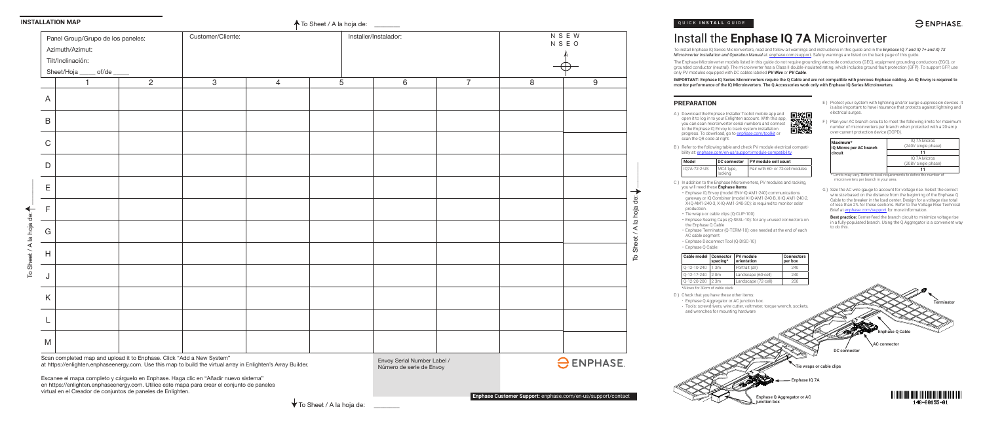#### QUICK **INSTALL** GUIDE

## $\ominus$  ENPHASE.

# Install the **Enphase IQ 7A** Microinverter

To install Enphase IQ Series Microinverters, read and follow all warnings and instructions in this guide and in the *Enphase IQ 7 and IQ 7+ and IQ 7X Microinverter Installation and Operation Manual* at: enphase.com/support. Safety warnings are listed on the back page of this guide.

The Enphase Microinverter models listed in this guide do not require grounding electrode conductors (GEC), equipment grounding conductors (EGC), or grounded conductor (neutral). The microinverter has a Class II double-insulated rating, which includes ground fault protection (GFP). To support GFP, use only PV modules equipped with DC cables labeled *PV Wire* or *PV Cable*.

> G ) Size the AC wire gauge to account for voltage rise. Select the correct wire size based on the distance from the beginning of the Enphase Q Cable to the breaker in the load center. Design for a voltage rise total of less than 2% for these sections. Refer to the Voltage Rise Technical Brief at enphase.com/support for more information.

**IMPORTANT:** Enphase IQ Series Microinverters require the Q Cable and are not compatible with previous Enphase cabling. An IQ Envoy is required to monitor performance of the IQ Microinverters. The Q Accessories work only with Enphase IQ Series Microinverters.

- E ) Protect your system with lightning and/or surge suppression devices. It is also important to have insurance that protects against lightning and electrical surges.
- F ) Plan your AC branch circuits to meet the following limits for maximum number of microinverters per branch when protected with a 20-amp over-current protection device (OCPD).

B ) Refer to the following table and check PV module electrical compatibility at: enphase.com/en-us/support/module-compatibility.

| Maximum*<br>IQ Micros per AC branch<br>circuit | IQ 7A Micros<br>(240V single phase) |  |  |
|------------------------------------------------|-------------------------------------|--|--|
|                                                |                                     |  |  |
|                                                | <b>IO 7A Micros</b>                 |  |  |
|                                                | (208V single phase)                 |  |  |
|                                                | 11                                  |  |  |

\* Limits may vary. Refer to local requirements to define the number of microinverters per branch in your area.

| Customer/Cliente:<br>Panel Group/Grupo de los paneles: |                                           |                |              | Installer/Instalador: |                |   |                |
|--------------------------------------------------------|-------------------------------------------|----------------|--------------|-----------------------|----------------|---|----------------|
|                                                        | Azimuth/Azimut:                           |                |              |                       |                |   |                |
|                                                        | Tilt/Inclinación:                         |                |              |                       |                |   |                |
|                                                        | $_{\rm o}$ of/de $_{\rm o}$<br>Sheet/Hoja |                |              |                       |                |   |                |
|                                                        | 1                                         | $\overline{2}$ | $\mathbf{3}$ | $\overline{4}$        | $\overline{5}$ | 6 | $\overline{7}$ |
| $\overline{A}$                                         |                                           |                |              |                       |                |   |                |
| $\sf B$                                                |                                           |                |              |                       |                |   |                |
| $\mathsf C$                                            |                                           |                |              |                       |                |   |                |
| $\mathsf{D}$                                           |                                           |                |              |                       |                |   |                |
| E                                                      |                                           |                |              |                       |                |   |                |
| $\mathsf F$                                            |                                           |                |              |                       |                |   |                |
| $\mathsf{G}$                                           |                                           |                |              |                       |                |   |                |
| $\mathsf{H}%$                                          |                                           |                |              |                       |                |   |                |
| J                                                      |                                           |                |              |                       |                |   |                |
| K                                                      |                                           |                |              |                       |                |   |                |
|                                                        |                                           |                |              |                       |                |   |                |
| M                                                      |                                           |                |              |                       |                |   |                |

**Best practice:** Center-feed the branch circuit to minimize voltage rise in a fully-populated branch. Using the Q Aggregator is a convenient way to do this.

## **PREPARATION**

A ) Download the Enphase Installer Toolkit mobile app and open it to log in to your Enlighten account. With this app, you can scan microinverter serial numbers and connect to the Enphase IQ Envoy to track system installation progress. To download, go to enphase.com/toolkit or scan the QR code at right.



| Model        |                      | DC connector   PV module cell count |
|--------------|----------------------|-------------------------------------|
| IO7A-72-2-US | MC4 type,<br>locking | Pair with 60- or 72-cell modules    |

C ) In addition to the Enphase Microinverters, PV modules and racking, you will need these **Enphase items**:

• Enphase IQ Envoy (model ENV-IQ-AM1-240) communications gateway or IQ Combiner (model X-IQ-AM1-240-B, X-IQ-AM1-240-2, X-IQ-AM1-240-3, X-IQ-AM1-240-3C): is required to monitor solar production.

- Tie wraps or cable clips (Q-CLIP-100)
- Enphase Sealing Caps (Q-SEAL-10): for any unused connectors on the Enphase Q Cable
- Enphase Terminator (Q-TERM-10): one needed at the end of each AC cable segment
- Enphase Disconnect Tool (Q-DISC-10)
- Enphase Q Cable:

| Cable model   Connector | spacing*         | <b>PV</b> module<br>orientation | <b>Connectors</b><br>per box |
|-------------------------|------------------|---------------------------------|------------------------------|
| Q-12-10-240             | 1.3m             | Portrait (all)                  | 240                          |
| $0-12-17-240$           | 2.0 <sub>m</sub> | Landscape (60-cell)             | 240                          |
| $O-12-2O-200$           | 2.3 <sub>m</sub> | Landscape (72-cell)             | 200                          |

\*Allows for 30cm of cable slack





Scan completed map and upload it to Enphase. Click "Add a New System" at https://enlighten.enphaseenergy.com. Use this map to build the virtual array in Enlighten's Array Builder.

Escanee el mapa completo y cárguelo en Enphase. Haga clic en "Añadir nuevo sistema" en https://enlighten.enphaseenergy.com. Utilice este mapa para crear el conjunto de paneles

virtual en el Creador de conjuntos de paneles de Enlighten.

Envoy Serial Number Label / Número de serie de Envoy

#### **INSTALLATION MAP**

To Sheet / A la hoja de:  $\begin{array}{c} \begin{array}{c} \begin{array}{c} \end{array} \end{array}$ 

la hoja

 $\prec$ 

ŏ

#### **A** To Sheet / A la hoja de: